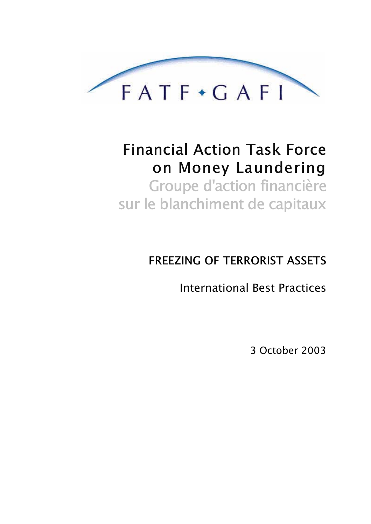

# **Financial Action Task Force** on Money Laundering Groupe d'action financière sur le blanchiment de capitaux

## **FREEZING OF TERRORIST ASSETS**

**International Best Practices** 

3 October 2003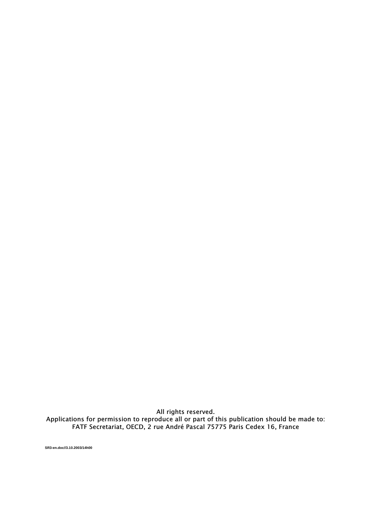All rights reserved.<br>Applications for permission to reproduce all or part of this publication should be made to:<br>FATF Secretariat, OECD, 2 rue André Pascal 75775 Paris Cedex 16, France

SR3-en.doc//3.10.2003/14h00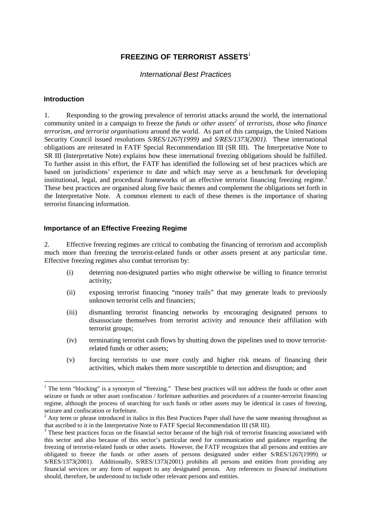### **FREEZING OF TERRORIST ASSETS**<sup>1</sup>

#### International Best Practices

#### **Introduction**

1. Responding to the growing prevalence of terrorist attacks around the world, the international community united in a campaign to freeze the *funds or other assets*<sup>2</sup> of *terrorists, those who finance terrorism, and terrorist organisations* around the world. As part of this campaign, the United Nations Security Council issued resolutions *S/RES/1267(1999)* and *S/RES/1373(2001).* These international obligations are reiterated in FATF Special Recommendation III (SR III). The Interpretative Note to SR III (Interpretative Note) explains how these international freezing obligations should be fulfilled. To further assist in this effort, the FATF has identified the following set of best practices which are based on jurisdictions' experience to date and which may serve as a benchmark for developing institutional, legal, and procedural frameworks of an effective terrorist financing freezing regime.<sup>3</sup> These best practices are organised along five basic themes and complement the obligations set forth in the Interpretative Note. A common element to each of these themes is the importance of sharing terrorist financing information.

#### **Importance of an Effective Freezing Regime**

2. Effective freezing regimes are critical to combating the financing of terrorism and accomplish much more than freezing the terrorist-related funds or other assets present at any particular time. Effective freezing regimes also combat terrorism by:

- (i) deterring non-designated parties who might otherwise be willing to finance terrorist activity;
- (ii) exposing terrorist financing "money trails" that may generate leads to previously unknown terrorist cells and financiers;
- (iii) dismantling terrorist financing networks by encouraging designated persons to disassociate themselves from terrorist activity and renounce their affiliation with terrorist groups;
- (iv) terminating terrorist cash flows by shutting down the pipelines used to move terroristrelated funds or other assets;
- (v) forcing terrorists to use more costly and higher risk means of financing their activities, which makes them more susceptible to detection and disruption; and

<sup>&</sup>lt;sup>1</sup> The term "blocking" is a synonym of "freezing." These best practices will not address the funds or other asset seizure or funds or other asset confiscation / forfeiture authorities and procedures of a counter-terrorist financing regime, although the process of searching for such funds or other assets may be identical in cases of freezing, seizure and confiscation or forfeiture.

 $2$  Any term or phrase introduced in italics in this Best Practices Paper shall have the same meaning throughout as that ascribed to it in the Interpretative Note to FATF Special Recommendation III (SR III).

 $3$  These best practices focus on the financial sector because of the high risk of terrorist financing associated with this sector and also because of this sector's particular need for communication and guidance regarding the freezing of terrorist-related funds or other assets. However, the FATF recognizes that all persons and entities are obligated to freeze the funds or other assets of persons designated under either S/RES/1267(1999) or S/RES/1373(2001). Additionally, S/RES/1373(2001) prohibits all persons and entities from providing any financial services or any form of support to any designated person. Any references to *financial institutions*  should, therefore, be understood to include other relevant persons and entities.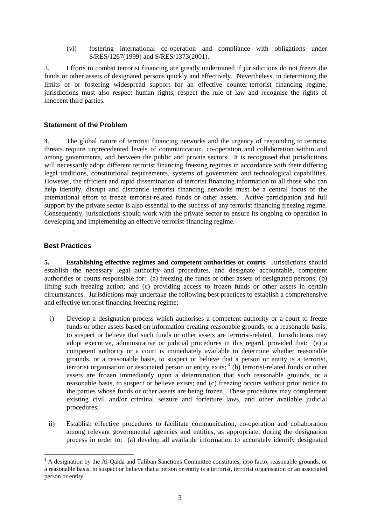(vi) fostering international co-operation and compliance with obligations under S/RES/1267(1999) and S/RES/1373(2001).

3. Efforts to combat terrorist financing are greatly undermined if jurisdictions do not freeze the funds or other assets of designated persons quickly and effectively. Nevertheless, in determining the limits of or fostering widespread support for an effective counter-terrorist financing regime, jurisdictions must also respect human rights, respect the rule of law and recognise the rights of innocent third parties.

#### **Statement of the Problem**

4. The global nature of terrorist financing networks and the urgency of responding to terrorist threats require unprecedented levels of communication, co-operation and collaboration within and among governments, and between the public and private sectors. It is recognised that jurisdictions will necessarily adopt different terrorist financing freezing regimes in accordance with their differing legal traditions, constitutional requirements, systems of government and technological capabilities. However, the efficient and rapid dissemination of terrorist financing information to all those who can help identify, disrupt and dismantle terrorist financing networks must be a central focus of the international effort to freeze terrorist-related funds or other assets. Active participation and full support by the private sector is also essential to the success of any terrorist financing freezing regime. Consequently, jurisdictions should work with the private sector to ensure its ongoing co-operation in developing and implementing an effective terrorist-financing regime.

#### **Best Practices**

 $\overline{a}$ 

**5. Establishing effective regimes and competent authorities or courts.** Jurisdictions should establish the necessary legal authority and procedures, and designate accountable, competent authorities or courts responsible for: (a) freezing the funds or other assets of designated persons; (b) lifting such freezing action; and (c) providing access to frozen funds or other assets in certain circumstances. Jurisdictions may undertake the following best practices to establish a comprehensive and effective terrorist financing freezing regime:

- i) Develop a designation process which authorises a competent authority or a court to freeze funds or other assets based on information creating reasonable grounds, or a reasonable basis, to suspect or believe that such funds or other assets are terrorist-related. Jurisdictions may adopt executive, administrative or judicial procedures in this regard, provided that: (a) a competent authority or a court is immediately available to determine whether reasonable grounds, or a reasonable basis, to suspect or believe that a person or entity is a terrorist, terrorist organisation or associated person or entity exits;  $4$  (b) terrorist-related funds or other assets are frozen immediately upon a determination that such reasonable grounds, or a reasonable basis, to suspect or believe exists; and (c) freezing occurs without prior notice to the parties whose funds or other assets are being frozen. These procedures may complement existing civil and/or criminal seizure and forfeiture laws, and other available judicial procedures;
- ii) Establish effective procedures to facilitate communication, co-operation and collaboration among relevant governmental agencies and entities, as appropriate, during the designation process in order to: (a) develop all available information to accurately identify designated

<sup>&</sup>lt;sup>4</sup> A designation by the Al-Qaida and Taliban Sanctions Committee constitutes, ipso facto, reasonable grounds, or a reasonable basis, to suspect or believe that a person or entity is a terrorist, terrorist organisation or an associated person or entity.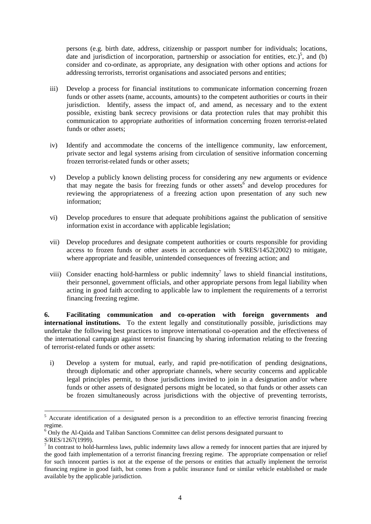persons (e.g. birth date, address, citizenship or passport number for individuals; locations, date and jurisdiction of incorporation, partnership or association for entities, etc.)<sup>5</sup>, and (b) consider and co-ordinate, as appropriate, any designation with other options and actions for addressing terrorists, terrorist organisations and associated persons and entities;

- iii) Develop a process for financial institutions to communicate information concerning frozen funds or other assets (name, accounts, amounts) to the competent authorities or courts in their jurisdiction. Identify, assess the impact of, and amend, as necessary and to the extent possible, existing bank secrecy provisions or data protection rules that may prohibit this communication to appropriate authorities of information concerning frozen terrorist-related funds or other assets;
- iv) Identify and accommodate the concerns of the intelligence community, law enforcement, private sector and legal systems arising from circulation of sensitive information concerning frozen terrorist-related funds or other assets;
- v) Develop a publicly known delisting process for considering any new arguments or evidence that may negate the basis for freezing funds or other assets<sup>6</sup> and develop procedures for reviewing the appropriateness of a freezing action upon presentation of any such new information;
- vi) Develop procedures to ensure that adequate prohibitions against the publication of sensitive information exist in accordance with applicable legislation;
- vii) Develop procedures and designate competent authorities or courts responsible for providing access to frozen funds or other assets in accordance with S/RES/1452(2002) to mitigate, where appropriate and feasible, unintended consequences of freezing action; and
- viii) Consider enacting hold-harmless or public indemnity<sup>7</sup> laws to shield financial institutions, their personnel, government officials, and other appropriate persons from legal liability when acting in good faith according to applicable law to implement the requirements of a terrorist financing freezing regime.

**6. Facilitating communication and co-operation with foreign governments and international institutions.** To the extent legally and constitutionally possible, jurisdictions may undertake the following best practices to improve international co-operation and the effectiveness of the international campaign against terrorist financing by sharing information relating to the freezing of terrorist-related funds or other assets:

i) Develop a system for mutual, early, and rapid pre-notification of pending designations, through diplomatic and other appropriate channels, where security concerns and applicable legal principles permit, to those jurisdictions invited to join in a designation and/or where funds or other assets of designated persons might be located, so that funds or other assets can be frozen simultaneously across jurisdictions with the objective of preventing terrorists,

 $\overline{a}$ 

<sup>&</sup>lt;sup>5</sup> Accurate identification of a designated person is a precondition to an effective terrorist financing freezing regime.

<sup>&</sup>lt;sup>6</sup> Only the Al-Qaida and Taliban Sanctions Committee can delist persons designated pursuant to S/RES/1267(1999).

 $<sup>7</sup>$  In contrast to hold-harmless laws, public indemnity laws allow a remedy for innocent parties that are injured by</sup> the good faith implementation of a terrorist financing freezing regime. The appropriate compensation or relief for such innocent parties is not at the expense of the persons or entities that actually implement the terrorist financing regime in good faith, but comes from a public insurance fund or similar vehicle established or made available by the applicable jurisdiction.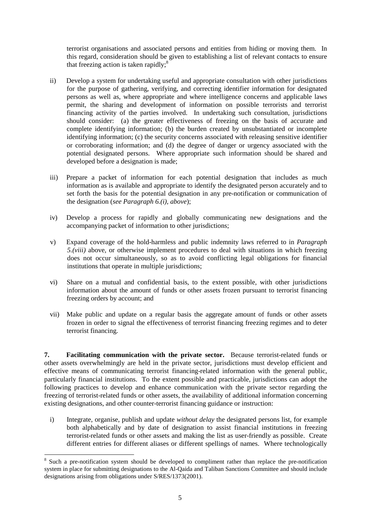terrorist organisations and associated persons and entities from hiding or moving them. In this regard, consideration should be given to establishing a list of relevant contacts to ensure that freezing action is taken rapidly; $\frac{8}{3}$ 

- ii) Develop a system for undertaking useful and appropriate consultation with other jurisdictions for the purpose of gathering, verifying, and correcting identifier information for designated persons as well as, where appropriate and where intelligence concerns and applicable laws permit, the sharing and development of information on possible terrorists and terrorist financing activity of the parties involved. In undertaking such consultation, jurisdictions should consider: (a) the greater effectiveness of freezing on the basis of accurate and complete identifying information; (b) the burden created by unsubstantiated or incomplete identifying information; (c) the security concerns associated with releasing sensitive identifier or corroborating information; and (d) the degree of danger or urgency associated with the potential designated persons. Where appropriate such information should be shared and developed before a designation is made;
- iii) Prepare a packet of information for each potential designation that includes as much information as is available and appropriate to identify the designated person accurately and to set forth the basis for the potential designation in any pre-notification or communication of the designation (*see Paragraph 6.(i), above*);
- iv) Develop a process for rapidly and globally communicating new designations and the accompanying packet of information to other jurisdictions;
- v) Expand coverage of the hold-harmless and public indemnity laws referred to in *Paragraph 5.(viii)* above, or otherwise implement procedures to deal with situations in which freezing does not occur simultaneously, so as to avoid conflicting legal obligations for financial institutions that operate in multiple jurisdictions;
- vi) Share on a mutual and confidential basis, to the extent possible, with other jurisdictions information about the amount of funds or other assets frozen pursuant to terrorist financing freezing orders by account; and
- vii) Make public and update on a regular basis the aggregate amount of funds or other assets frozen in order to signal the effectiveness of terrorist financing freezing regimes and to deter terrorist financing.

**7. Facilitating communication with the private sector.** Because terrorist-related funds or other assets overwhelmingly are held in the private sector, jurisdictions must develop efficient and effective means of communicating terrorist financing-related information with the general public, particularly financial institutions. To the extent possible and practicable, jurisdictions can adopt the following practices to develop and enhance communication with the private sector regarding the freezing of terrorist-related funds or other assets, the availability of additional information concerning existing designations, and other counter-terrorist financing guidance or instruction:

i) Integrate, organise, publish and update *without delay* the designated persons list, for example both alphabetically and by date of designation to assist financial institutions in freezing terrorist-related funds or other assets and making the list as user-friendly as possible. Create different entries for different aliases or different spellings of names. Where technologically

 $\overline{a}$ 

<sup>&</sup>lt;sup>8</sup> Such a pre-notification system should be developed to compliment rather than replace the pre-notification system in place for submitting designations to the Al-Qaida and Taliban Sanctions Committee and should include designations arising from obligations under S/RES/1373(2001).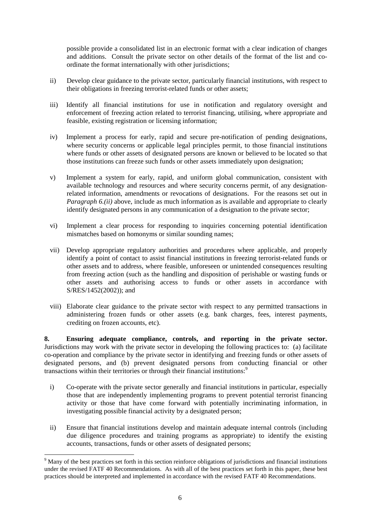possible provide a consolidated list in an electronic format with a clear indication of changes and additions. Consult the private sector on other details of the format of the list and coordinate the format internationally with other jurisdictions;

- ii) Develop clear guidance to the private sector, particularly financial institutions, with respect to their obligations in freezing terrorist-related funds or other assets;
- iii) Identify all financial institutions for use in notification and regulatory oversight and enforcement of freezing action related to terrorist financing, utilising, where appropriate and feasible, existing registration or licensing information;
- iv) Implement a process for early, rapid and secure pre-notification of pending designations, where security concerns or applicable legal principles permit, to those financial institutions where funds or other assets of designated persons are known or believed to be located so that those institutions can freeze such funds or other assets immediately upon designation;
- v) Implement a system for early, rapid, and uniform global communication, consistent with available technology and resources and where security concerns permit, of any designationrelated information, amendments or revocations of designations. For the reasons set out in *Paragraph 6.(ii)* above, include as much information as is available and appropriate to clearly identify designated persons in any communication of a designation to the private sector;
- vi) Implement a clear process for responding to inquiries concerning potential identification mismatches based on homonyms or similar sounding names;
- vii) Develop appropriate regulatory authorities and procedures where applicable, and properly identify a point of contact to assist financial institutions in freezing terrorist-related funds or other assets and to address, where feasible, unforeseen or unintended consequences resulting from freezing action (such as the handling and disposition of perishable or wasting funds or other assets and authorising access to funds or other assets in accordance with S/RES/1452(2002)); and
- viii) Elaborate clear guidance to the private sector with respect to any permitted transactions in administering frozen funds or other assets (e.g. bank charges, fees, interest payments, crediting on frozen accounts, etc).

**8. Ensuring adequate compliance, controls, and reporting in the private sector.**  Jurisdictions may work with the private sector in developing the following practices to: (a) facilitate co-operation and compliance by the private sector in identifying and freezing funds or other assets of designated persons, and (b) prevent designated persons from conducting financial or other transactions within their territories or through their financial institutions:<sup>9</sup>

- i) Co-operate with the private sector generally and financial institutions in particular, especially those that are independently implementing programs to prevent potential terrorist financing activity or those that have come forward with potentially incriminating information, in investigating possible financial activity by a designated person;
- ii) Ensure that financial institutions develop and maintain adequate internal controls (including due diligence procedures and training programs as appropriate) to identify the existing accounts, transactions, funds or other assets of designated persons;

 $\overline{a}$ 

<sup>&</sup>lt;sup>9</sup> Many of the best practices set forth in this section reinforce obligations of jurisdictions and financial institutions under the revised FATF 40 Recommendations. As with all of the best practices set forth in this paper, these best practices should be interpreted and implemented in accordance with the revised FATF 40 Recommendations.